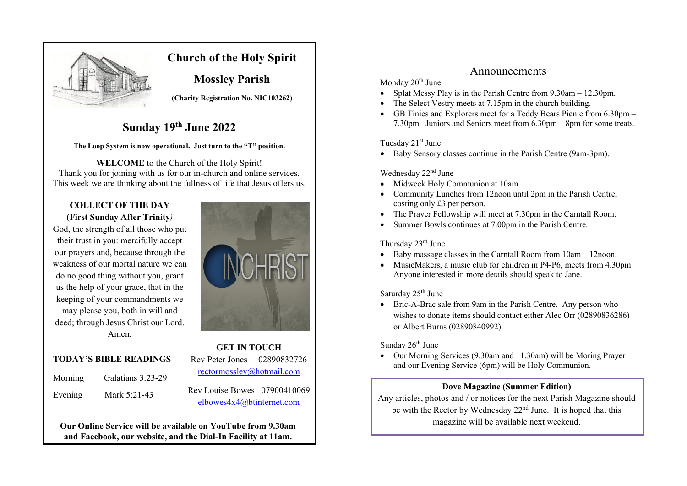

## **Church of the Holy Spirit**

**Mossley Parish**

**(Charity Registration No. NIC103262)**

# **Sunday 19th June 2022**

#### **The Loop System is now operational. Just turn to the "T" position.**

**WELCOME** to the Church of the Holy Spirit! Thank you for joining with us for our in-church and online services. This week we are thinking about the fullness of life that Jesus offers us.

### **COLLECT OF THE DAY (First Sunday After Trinity***)*

God, the strength of all those who put their trust in you: mercifully accept our prayers and, because through the weakness of our mortal nature we can do no good thing without you, grant us the help of your grace, that in the keeping of your commandments we may please you, both in will and deed; through Jesus Christ our Lord. Amen.



#### **TODAY'S BIBLE READINGS**

| Morning | Galatians 3:23-29 |
|---------|-------------------|
| Evening | Mark 5:21-43      |

Rev Peter Jones 02890832726 rectormossley@hotmail.com

**GET IN TOUCH** 

Rev Louise Bowes 07900410069 elbowes4x4@btinternet.com

**Our Online Service will be available on YouTube from 9.30am and Facebook, our website, and the Dial-In Facility at 11am.**

## Announcements

#### Monday 20<sup>th</sup> June

- Splat Messy Play is in the Parish Centre from 9.30am 12.30pm.
- The Select Vestry meets at 7.15pm in the church building.
- GB Tinies and Explorers meet for a Teddy Bears Picnic from 6.30pm 7.30pm. Juniors and Seniors meet from 6.30pm – 8pm for some treats.

#### Tuesday 21<sup>st</sup> June

• Baby Sensory classes continue in the Parish Centre (9am-3pm).

### Wednesday 22<sup>nd</sup> June

- Midweek Holy Communion at 10am.
- Community Lunches from 12noon until 2pm in the Parish Centre, costing only £3 per person.
- The Prayer Fellowship will meet at 7.30pm in the Carntall Room.
- Summer Bowls continues at 7.00pm in the Parish Centre.

### Thursday 23rd June

- Baby massage classes in the Carntall Room from 10am 12noon.
- MusicMakers, a music club for children in P4-P6, meets from 4.30pm. Anyone interested in more details should speak to Jane.

### Saturday 25<sup>th</sup> June

• Bric-A-Brac sale from 9am in the Parish Centre. Any person who wishes to donate items should contact either Alec Orr (02890836286) or Albert Burns (02890840992).

### Sunday  $26<sup>th</sup>$  June

• Our Morning Services (9.30am and 11.30am) will be Moring Prayer and our Evening Service (6pm) will be Holy Communion.

### **Dove Magazine (Summer Edition)**

Any articles, photos and / or notices for the next Parish Magazine should be with the Rector by Wednesday 22nd June. It is hoped that this magazine will be available next weekend.